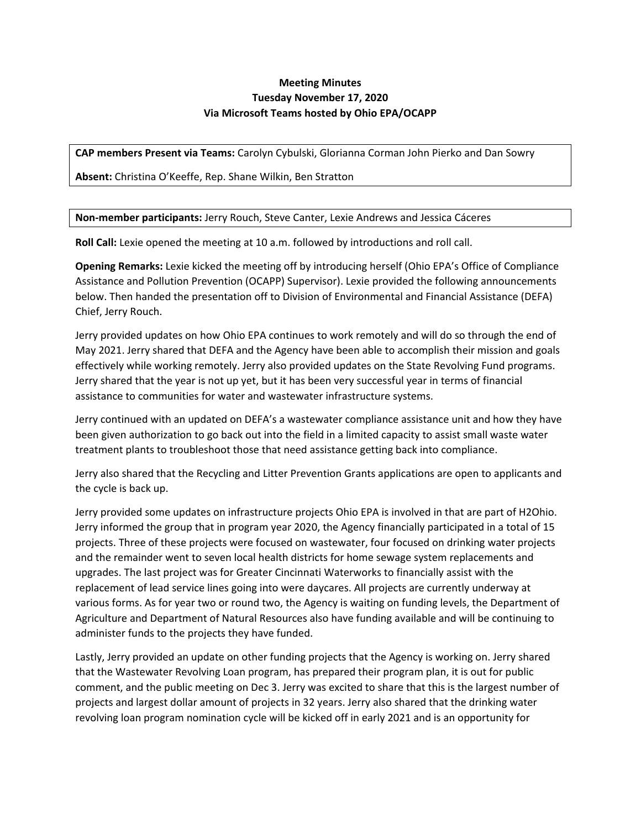## **Meeting Minutes Tuesday November 17, 2020 Via Microsoft Teams hosted by Ohio EPA/OCAPP**

**CAP members Present via Teams:** Carolyn Cybulski, Glorianna Corman John Pierko and Dan Sowry

**Absent:** Christina O'Keeffe, Rep. Shane Wilkin, Ben Stratton

**Non-member participants:** Jerry Rouch, Steve Canter, Lexie Andrews and Jessica Cáceres

**Roll Call:** Lexie opened the meeting at 10 a.m. followed by introductions and roll call.

**Opening Remarks:** Lexie kicked the meeting off by introducing herself (Ohio EPA's Office of Compliance Assistance and Pollution Prevention (OCAPP) Supervisor). Lexie provided the following announcements below. Then handed the presentation off to Division of Environmental and Financial Assistance (DEFA) Chief, Jerry Rouch.

Jerry provided updates on how Ohio EPA continues to work remotely and will do so through the end of May 2021. Jerry shared that DEFA and the Agency have been able to accomplish their mission and goals effectively while working remotely. Jerry also provided updates on the State Revolving Fund programs. Jerry shared that the year is not up yet, but it has been very successful year in terms of financial assistance to communities for water and wastewater infrastructure systems.

Jerry continued with an updated on DEFA's a wastewater compliance assistance unit and how they have been given authorization to go back out into the field in a limited capacity to assist small waste water treatment plants to troubleshoot those that need assistance getting back into compliance.

Jerry also shared that the Recycling and Litter Prevention Grants applications are open to applicants and the cycle is back up.

Jerry provided some updates on infrastructure projects Ohio EPA is involved in that are part of H2Ohio. Jerry informed the group that in program year 2020, the Agency financially participated in a total of 15 projects. Three of these projects were focused on wastewater, four focused on drinking water projects and the remainder went to seven local health districts for home sewage system replacements and upgrades. The last project was for Greater Cincinnati Waterworks to financially assist with the replacement of lead service lines going into were daycares. All projects are currently underway at various forms. As for year two or round two, the Agency is waiting on funding levels, the Department of Agriculture and Department of Natural Resources also have funding available and will be continuing to administer funds to the projects they have funded.

Lastly, Jerry provided an update on other funding projects that the Agency is working on. Jerry shared that the Wastewater Revolving Loan program, has prepared their program plan, it is out for public comment, and the public meeting on Dec 3. Jerry was excited to share that this is the largest number of projects and largest dollar amount of projects in 32 years. Jerry also shared that the drinking water revolving loan program nomination cycle will be kicked off in early 2021 and is an opportunity for